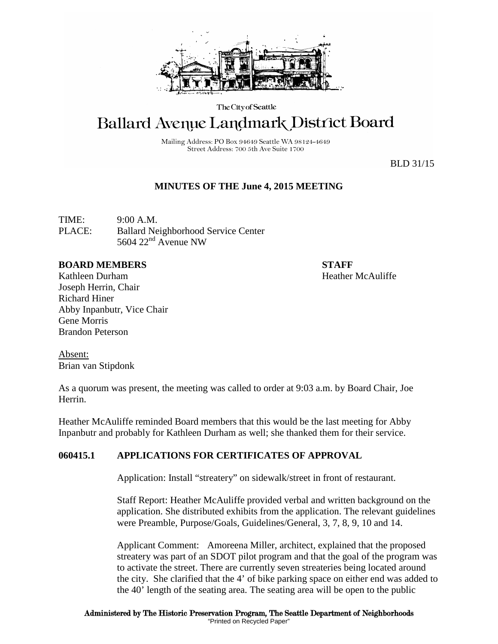

The City of Seattle

# **Ballard Avenue Landmark District Board**

Mailing Address: PO Box 94649 Seattle WA 98124-4649 Street Address: 700 5th Ave Suite 1700

BLD 31/15

# **MINUTES OF THE June 4, 2015 MEETING**

TIME: 9:00 A.M. PLACE: Ballard Neighborhood Service Center 5604  $22<sup>nd</sup>$  Avenue NW

### **BOARD MEMBERS STAFF**

Kathleen Durham **Heather McAuliffe** Joseph Herrin, Chair Richard Hiner Abby Inpanbutr, Vice Chair Gene Morris Brandon Peterson

Absent: Brian van Stipdonk

As a quorum was present, the meeting was called to order at 9:03 a.m. by Board Chair, Joe Herrin.

Heather McAuliffe reminded Board members that this would be the last meeting for Abby Inpanbutr and probably for Kathleen Durham as well; she thanked them for their service.

## **060415.1 APPLICATIONS FOR CERTIFICATES OF APPROVAL**

Application: Install "streatery" on sidewalk/street in front of restaurant.

Staff Report: Heather McAuliffe provided verbal and written background on the application. She distributed exhibits from the application. The relevant guidelines were Preamble, Purpose/Goals, Guidelines/General, 3, 7, 8, 9, 10 and 14.

Applicant Comment: Amoreena Miller, architect, explained that the proposed streatery was part of an SDOT pilot program and that the goal of the program was to activate the street. There are currently seven streateries being located around the city. She clarified that the 4' of bike parking space on either end was added to the 40' length of the seating area. The seating area will be open to the public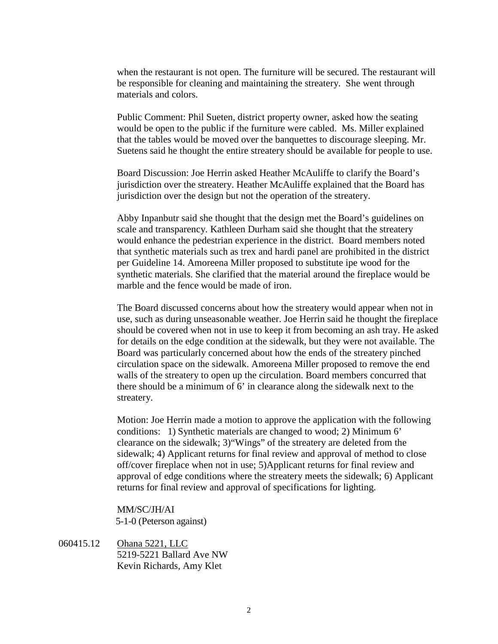when the restaurant is not open. The furniture will be secured. The restaurant will be responsible for cleaning and maintaining the streatery. She went through materials and colors.

Public Comment: Phil Sueten, district property owner, asked how the seating would be open to the public if the furniture were cabled. Ms. Miller explained that the tables would be moved over the banquettes to discourage sleeping. Mr. Suetens said he thought the entire streatery should be available for people to use.

Board Discussion: Joe Herrin asked Heather McAuliffe to clarify the Board's jurisdiction over the streatery. Heather McAuliffe explained that the Board has jurisdiction over the design but not the operation of the streatery.

Abby Inpanbutr said she thought that the design met the Board's guidelines on scale and transparency. Kathleen Durham said she thought that the streatery would enhance the pedestrian experience in the district. Board members noted that synthetic materials such as trex and hardi panel are prohibited in the district per Guideline 14. Amoreena Miller proposed to substitute ipe wood for the synthetic materials. She clarified that the material around the fireplace would be marble and the fence would be made of iron.

The Board discussed concerns about how the streatery would appear when not in use, such as during unseasonable weather. Joe Herrin said he thought the fireplace should be covered when not in use to keep it from becoming an ash tray. He asked for details on the edge condition at the sidewalk, but they were not available. The Board was particularly concerned about how the ends of the streatery pinched circulation space on the sidewalk. Amoreena Miller proposed to remove the end walls of the streatery to open up the circulation. Board members concurred that there should be a minimum of 6' in clearance along the sidewalk next to the streatery.

Motion: Joe Herrin made a motion to approve the application with the following conditions: 1) Synthetic materials are changed to wood; 2) Minimum 6' clearance on the sidewalk; 3)"Wings" of the streatery are deleted from the sidewalk; 4) Applicant returns for final review and approval of method to close off/cover fireplace when not in use; 5)Applicant returns for final review and approval of edge conditions where the streatery meets the sidewalk; 6) Applicant returns for final review and approval of specifications for lighting.

#### MM/SC/JH/AI

5-1-0 (Peterson against)

060415.12 Ohana 5221, LLC 5219-5221 Ballard Ave NW Kevin Richards, Amy Klet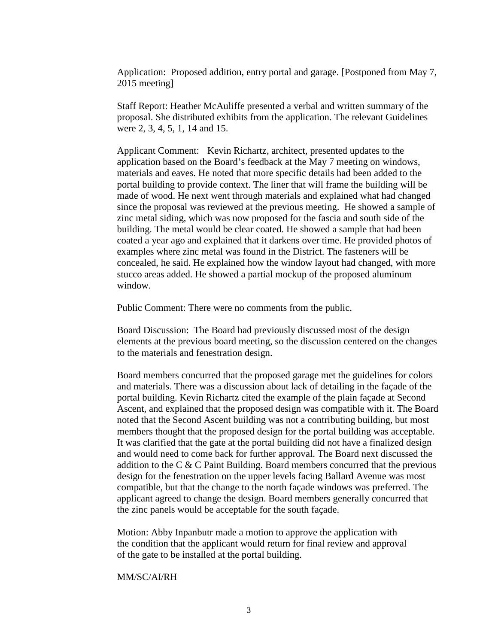Application: Proposed addition, entry portal and garage. [Postponed from May 7, 2015 meeting]

Staff Report: Heather McAuliffe presented a verbal and written summary of the proposal. She distributed exhibits from the application. The relevant Guidelines were 2, 3, 4, 5, 1, 14 and 15.

Applicant Comment: Kevin Richartz, architect, presented updates to the application based on the Board's feedback at the May 7 meeting on windows, materials and eaves. He noted that more specific details had been added to the portal building to provide context. The liner that will frame the building will be made of wood. He next went through materials and explained what had changed since the proposal was reviewed at the previous meeting. He showed a sample of zinc metal siding, which was now proposed for the fascia and south side of the building. The metal would be clear coated. He showed a sample that had been coated a year ago and explained that it darkens over time. He provided photos of examples where zinc metal was found in the District. The fasteners will be concealed, he said. He explained how the window layout had changed, with more stucco areas added. He showed a partial mockup of the proposed aluminum window.

Public Comment: There were no comments from the public.

Board Discussion: The Board had previously discussed most of the design elements at the previous board meeting, so the discussion centered on the changes to the materials and fenestration design.

Board members concurred that the proposed garage met the guidelines for colors and materials. There was a discussion about lack of detailing in the façade of the portal building. Kevin Richartz cited the example of the plain façade at Second Ascent, and explained that the proposed design was compatible with it. The Board noted that the Second Ascent building was not a contributing building, but most members thought that the proposed design for the portal building was acceptable. It was clarified that the gate at the portal building did not have a finalized design and would need to come back for further approval. The Board next discussed the addition to the C & C Paint Building. Board members concurred that the previous design for the fenestration on the upper levels facing Ballard Avenue was most compatible, but that the change to the north façade windows was preferred. The applicant agreed to change the design. Board members generally concurred that the zinc panels would be acceptable for the south façade.

Motion: Abby Inpanbutr made a motion to approve the application with the condition that the applicant would return for final review and approval of the gate to be installed at the portal building.

#### MM/SC/AI/RH